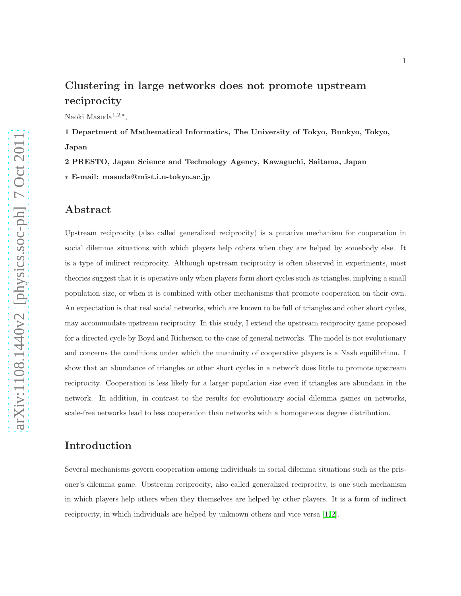# Clustering in large networks does not promote upstream reciprocity

Naoki Masuda<sup>1,2,∗</sup>,

1 Department of Mathematical Informatics, The University of Tokyo, Bunkyo, Tokyo, Japan

2 PRESTO, Japan Science and Technology Agency, Kawaguchi, Saitama, Japan ∗ E-mail: masuda@mist.i.u-tokyo.ac.jp

### Abstract

Upstream reciprocity (also called generalized reciprocity) is a putative mechanism for cooperation in social dilemma situations with which players help others when they are helped by somebody else. It is a type of indirect reciprocity. Although upstream reciprocity is often observed in experiments, most theories suggest that it is operative only when players form short cycles such as triangles, implying a small population size, or when it is combined with other mechanisms that promote cooperation on their own. An expectation is that real social networks, which are known to be full of triangles and other short cycles, may accommodate upstream reciprocity. In this study, I extend the upstream reciprocity game proposed for a directed cycle by Boyd and Richerson to the case of general networks. The model is not evolutionary and concerns the conditions under which the unanimity of cooperative players is a Nash equilibrium. I show that an abundance of triangles or other short cycles in a network does little to promote upstream reciprocity. Cooperation is less likely for a larger population size even if triangles are abundant in the network. In addition, in contrast to the results for evolutionary social dilemma games on networks, scale-free networks lead to less cooperation than networks with a homogeneous degree distribution.

## Introduction

Several mechanisms govern cooperation among individuals in social dilemma situations such as the prisoner's dilemma game. Upstream reciprocity, also called generalized reciprocity, is one such mechanism in which players help others when they themselves are helped by other players. It is a form of indirect reciprocity, in which individuals are helped by unknown others and vice versa [\[1,](#page-17-0) [2\]](#page-17-1).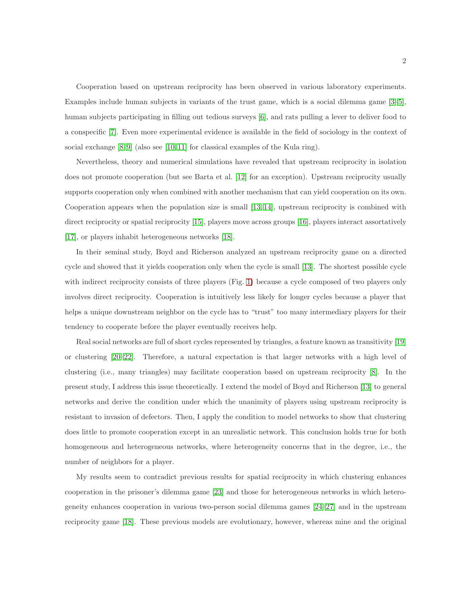Cooperation based on upstream reciprocity has been observed in various laboratory experiments. Examples include human subjects in variants of the trust game, which is a social dilemma game [\[3](#page-17-2)[–5\]](#page-17-3), human subjects participating in filling out tedious surveys [\[6\]](#page-17-4), and rats pulling a lever to deliver food to a conspecific [\[7\]](#page-17-5). Even more experimental evidence is available in the field of sociology in the context of social exchange  $[8, 9]$  $[8, 9]$  (also see  $[10, 11]$  $[10, 11]$  for classical examples of the Kula ring).

Nevertheless, theory and numerical simulations have revealed that upstream reciprocity in isolation does not promote cooperation (but see Barta et al. [\[12\]](#page-18-3) for an exception). Upstream reciprocity usually supports cooperation only when combined with another mechanism that can yield cooperation on its own. Cooperation appears when the population size is small [\[13,](#page-18-4) [14\]](#page-18-5), upstream reciprocity is combined with direct reciprocity or spatial reciprocity [\[15\]](#page-18-6), players move across groups [\[16\]](#page-18-7), players interact assortatively [\[17\]](#page-18-8), or players inhabit heterogeneous networks [\[18\]](#page-18-9).

In their seminal study, Boyd and Richerson analyzed an upstream reciprocity game on a directed cycle and showed that it yields cooperation only when the cycle is small [\[13\]](#page-18-4). The shortest possible cycle with indirect reciprocity consists of three players (Fig. [1\)](#page-21-0) because a cycle composed of two players only involves direct reciprocity. Cooperation is intuitively less likely for longer cycles because a player that helps a unique downstream neighbor on the cycle has to "trust" too many intermediary players for their tendency to cooperate before the player eventually receives help.

Real social networks are full of short cycles represented by triangles, a feature known as transitivity [\[19\]](#page-18-10) or clustering [\[20–](#page-18-11)[22\]](#page-18-12). Therefore, a natural expectation is that larger networks with a high level of clustering (i.e., many triangles) may facilitate cooperation based on upstream reciprocity [\[8\]](#page-17-6). In the present study, I address this issue theoretically. I extend the model of Boyd and Richerson [\[13\]](#page-18-4) to general networks and derive the condition under which the unanimity of players using upstream reciprocity is resistant to invasion of defectors. Then, I apply the condition to model networks to show that clustering does little to promote cooperation except in an unrealistic network. This conclusion holds true for both homogeneous and heterogeneous networks, where heterogeneity concerns that in the degree, i.e., the number of neighbors for a player.

My results seem to contradict previous results for spatial reciprocity in which clustering enhances cooperation in the prisoner's dilemma game [\[23\]](#page-18-13) and those for heterogeneous networks in which heterogeneity enhances cooperation in various two-person social dilemma games [\[24](#page-19-0)[–27\]](#page-19-1) and in the upstream reciprocity game [\[18\]](#page-18-9). These previous models are evolutionary, however, whereas mine and the original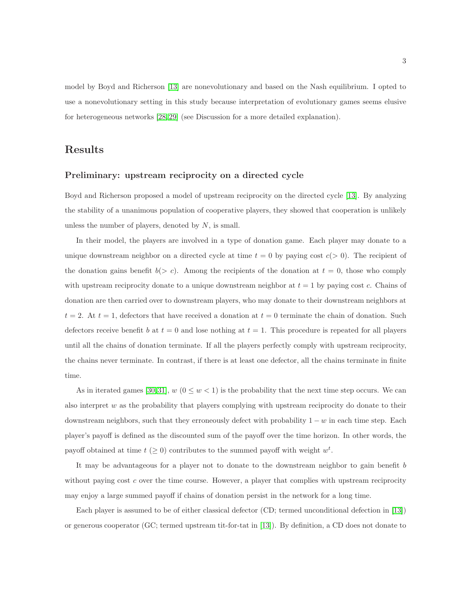model by Boyd and Richerson [\[13\]](#page-18-4) are nonevolutionary and based on the Nash equilibrium. I opted to use a nonevolutionary setting in this study because interpretation of evolutionary games seems elusive for heterogeneous networks [\[28,](#page-19-2) [29\]](#page-19-3) (see Discussion for a more detailed explanation).

## Results

### Preliminary: upstream reciprocity on a directed cycle

Boyd and Richerson proposed a model of upstream reciprocity on the directed cycle [\[13\]](#page-18-4). By analyzing the stability of a unanimous population of cooperative players, they showed that cooperation is unlikely unless the number of players, denoted by  $N$ , is small.

In their model, the players are involved in a type of donation game. Each player may donate to a unique downstream neighbor on a directed cycle at time  $t = 0$  by paying cost  $c(> 0)$ . The recipient of the donation gains benefit  $b(> c)$ . Among the recipients of the donation at  $t = 0$ , those who comply with upstream reciprocity donate to a unique downstream neighbor at  $t = 1$  by paying cost c. Chains of donation are then carried over to downstream players, who may donate to their downstream neighbors at  $t = 2$ . At  $t = 1$ , defectors that have received a donation at  $t = 0$  terminate the chain of donation. Such defectors receive benefit b at  $t = 0$  and lose nothing at  $t = 1$ . This procedure is repeated for all players until all the chains of donation terminate. If all the players perfectly comply with upstream reciprocity, the chains never terminate. In contrast, if there is at least one defector, all the chains terminate in finite time.

As in iterated games [\[30,](#page-19-4)[31\]](#page-19-5),  $w$  ( $0 \leq w < 1$ ) is the probability that the next time step occurs. We can also interpret  $w$  as the probability that players complying with upstream reciprocity do donate to their downstream neighbors, such that they erroneously defect with probability  $1 - w$  in each time step. Each player's payoff is defined as the discounted sum of the payoff over the time horizon. In other words, the payoff obtained at time  $t \geq 0$  contributes to the summed payoff with weight  $w^t$ .

It may be advantageous for a player not to donate to the downstream neighbor to gain benefit b without paying cost  $c$  over the time course. However, a player that complies with upstream reciprocity may enjoy a large summed payoff if chains of donation persist in the network for a long time.

Each player is assumed to be of either classical defector (CD; termed unconditional defection in [\[13\]](#page-18-4)) or generous cooperator (GC; termed upstream tit-for-tat in [\[13\]](#page-18-4)). By definition, a CD does not donate to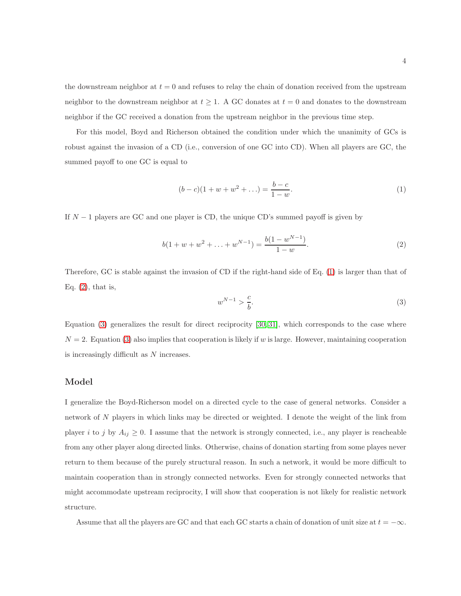the downstream neighbor at  $t = 0$  and refuses to relay the chain of donation received from the upstream neighbor to the downstream neighbor at  $t \geq 1$ . A GC donates at  $t = 0$  and donates to the downstream neighbor if the GC received a donation from the upstream neighbor in the previous time step.

For this model, Boyd and Richerson obtained the condition under which the unanimity of GCs is robust against the invasion of a CD (i.e., conversion of one GC into CD). When all players are GC, the summed payoff to one GC is equal to

<span id="page-3-0"></span>
$$
(b - c)(1 + w + w2 + ...) = \frac{b - c}{1 - w}.
$$
 (1)

If  $N-1$  players are GC and one player is CD, the unique CD's summed payoff is given by

<span id="page-3-1"></span>
$$
b(1 + w + w2 + ... + wN-1) = \frac{b(1 - wN-1)}{1 - w}.
$$
\n(2)

Therefore, GC is stable against the invasion of CD if the right-hand side of Eq. [\(1\)](#page-3-0) is larger than that of Eq.  $(2)$ , that is,

<span id="page-3-2"></span>
$$
w^{N-1} > \frac{c}{b}.\tag{3}
$$

Equation [\(3\)](#page-3-2) generalizes the result for direct reciprocity [\[30,](#page-19-4) [31\]](#page-19-5), which corresponds to the case where  $N = 2$ . Equation [\(3\)](#page-3-2) also implies that cooperation is likely if w is large. However, maintaining cooperation is increasingly difficult as N increases.

### Model

I generalize the Boyd-Richerson model on a directed cycle to the case of general networks. Consider a network of N players in which links may be directed or weighted. I denote the weight of the link from player i to j by  $A_{ij} \geq 0$ . I assume that the network is strongly connected, i.e., any player is reacheable from any other player along directed links. Otherwise, chains of donation starting from some playes never return to them because of the purely structural reason. In such a network, it would be more difficult to maintain cooperation than in strongly connected networks. Even for strongly connected networks that might accommodate upstream reciprocity, I will show that cooperation is not likely for realistic network structure.

Assume that all the players are GC and that each GC starts a chain of donation of unit size at  $t = -\infty$ .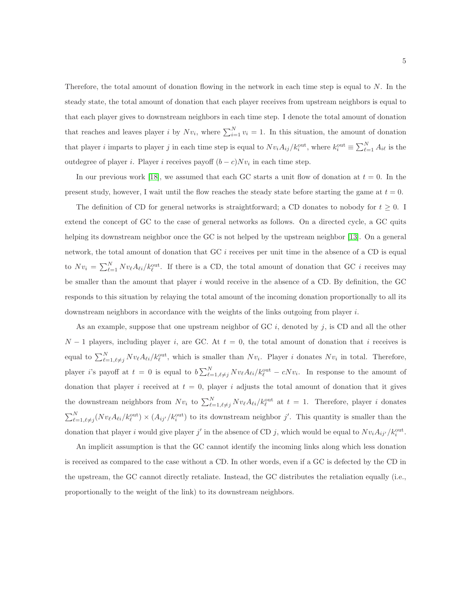Therefore, the total amount of donation flowing in the network in each time step is equal to N. In the steady state, the total amount of donation that each player receives from upstream neighbors is equal to that each player gives to downstream neighbors in each time step. I denote the total amount of donation that reaches and leaves player *i* by  $Nv_i$ , where  $\sum_{i=1}^{N} v_i = 1$ . In this situation, the amount of donation that player *i* imparts to player *j* in each time step is equal to  $Nv_i A_{ij}/k_i^{\text{out}}$ , where  $k_i^{\text{out}} \equiv \sum_{\ell=1}^{N} A_{i\ell}$  is the outdegree of player *i*. Player *i* receives payoff  $(b - c)Nv_i$  in each time step.

In our previous work [\[18\]](#page-18-9), we assumed that each GC starts a unit flow of donation at  $t = 0$ . In the present study, however, I wait until the flow reaches the steady state before starting the game at  $t = 0$ .

The definition of CD for general networks is straightforward; a CD donates to nobody for  $t \geq 0$ . extend the concept of GC to the case of general networks as follows. On a directed cycle, a GC quits helping its downstream neighbor once the GC is not helped by the upstream neighbor [\[13\]](#page-18-4). On a general network, the total amount of donation that GC i receives per unit time in the absence of a CD is equal to  $Nv_i = \sum_{\ell=1}^{N} Nv_{\ell}A_{\ell i}/k_{\ell}^{\text{out}}$ . If there is a CD, the total amount of donation that GC *i* receives may be smaller than the amount that player  $i$  would receive in the absence of a CD. By definition, the GC responds to this situation by relaying the total amount of the incoming donation proportionally to all its downstream neighbors in accordance with the weights of the links outgoing from player i.

As an example, suppose that one upstream neighbor of  $GC\ i$ , denoted by j, is CD and all the other  $N-1$  players, including player i, are GC. At  $t = 0$ , the total amount of donation that i receives is equal to  $\sum_{\ell=1,\ell\neq j}^{N} N v_{\ell} A_{\ell i}/k_{\ell}^{\text{out}}$ , which is smaller than  $Nv_i$ . Player i donates  $Nv_i$  in total. Therefore, player *i*'s payoff at  $t = 0$  is equal to  $b \sum_{\ell=1,\ell \neq j}^{N} N v_{\ell} A_{\ell i} / k_{\ell}^{\text{out}} - c N v_{i}$ . In response to the amount of donation that player i received at  $t = 0$ , player i adjusts the total amount of donation that it gives the downstream neighbors from  $Nv_i$  to  $\sum_{\ell=1,\ell\neq j}^{N} Nv_{\ell}A_{\ell i}/k_{\ell}^{\text{out}}$  at  $t=1$ . Therefore, player i donates  $\sum_{\ell=1,\ell\neq j}^{N}(Nv_{\ell}A_{\ell i}/k_{\ell}^{\text{out}}) \times (A_{ij'}/k_i^{\text{out}})$  to its downstream neighbor j'. This quantity is smaller than the donation that player i would give player j' in the absence of CD j, which would be equal to  $Nv_i A_{ij'}/k_i^{\text{out}}$ .

An implicit assumption is that the GC cannot identify the incoming links along which less donation is received as compared to the case without a CD. In other words, even if a GC is defected by the CD in the upstream, the GC cannot directly retaliate. Instead, the GC distributes the retaliation equally (i.e., proportionally to the weight of the link) to its downstream neighbors.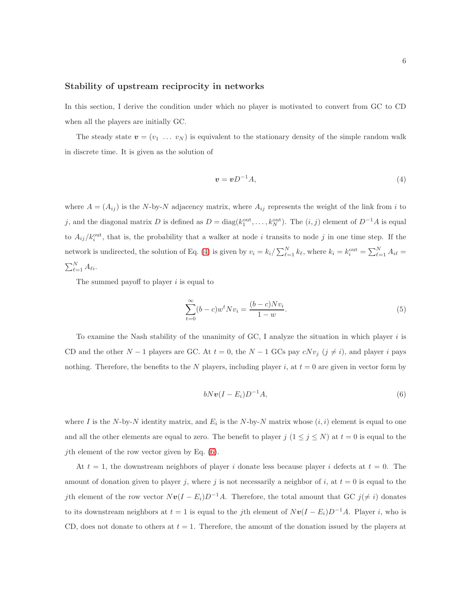### Stability of upstream reciprocity in networks

In this section, I derive the condition under which no player is motivated to convert from GC to CD when all the players are initially GC.

The steady state  $v = (v_1 \ldots v_N)$  is equivalent to the stationary density of the simple random walk in discrete time. It is given as the solution of

<span id="page-5-0"></span>
$$
v = vD^{-1}A,\tag{4}
$$

where  $A = (A_{ij})$  is the N-by-N adjacency matrix, where  $A_{ij}$  represents the weight of the link from i to j, and the diagonal matrix D is defined as  $D = diag(k_1^{\text{out}}, \dots, k_N^{\text{out}})$ . The  $(i, j)$  element of  $D^{-1}A$  is equal to  $A_{ij}/k_i^{\text{out}}$ , that is, the probability that a walker at node *i* transits to node *j* in one time step. If the network is undirected, the solution of Eq. [\(4\)](#page-5-0) is given by  $v_i = k_i / \sum_{\ell=1}^{N} k_{\ell}$ , where  $k_i = k_i^{\text{out}} = \sum_{\ell=1}^{N} A_{i\ell} =$  $\sum_{\ell=1}^N A_{\ell i}$ .

The summed payoff to player  $i$  is equal to

<span id="page-5-2"></span>
$$
\sum_{t=0}^{\infty} (b-c)w^t N v_i = \frac{(b-c)N v_i}{1-w}.
$$
\n(5)

To examine the Nash stability of the unanimity of  $\mathbf{G} \mathbf{C}$ , I analyze the situation in which player i is CD and the other  $N-1$  players are GC. At  $t = 0$ , the  $N-1$  GCs pay  $cNv_j$   $(j \neq i)$ , and player i pays nothing. Therefore, the benefits to the N players, including player i, at  $t = 0$  are given in vector form by

<span id="page-5-1"></span>
$$
bNv(I-E_i)D^{-1}A, \t\t(6)
$$

where I is the N-by-N identity matrix, and  $E_i$  is the N-by-N matrix whose  $(i, i)$  element is equal to one and all the other elements are equal to zero. The benefit to player j  $(1 \le j \le N)$  at  $t = 0$  is equal to the *j*th element of the row vector given by Eq.  $(6)$ .

At  $t = 1$ , the downstream neighbors of player i donate less because player i defects at  $t = 0$ . The amount of donation given to player j, where j is not necessarily a neighbor of i, at  $t = 0$  is equal to the jth element of the row vector  $Nv(I - E_i)D^{-1}A$ . Therefore, the total amount that GC j( $\neq i$ ) donates to its downstream neighbors at  $t = 1$  is equal to the jth element of  $Nv(I - E_i)D^{-1}A$ . Player i, who is CD, does not donate to others at  $t = 1$ . Therefore, the amount of the donation issued by the players at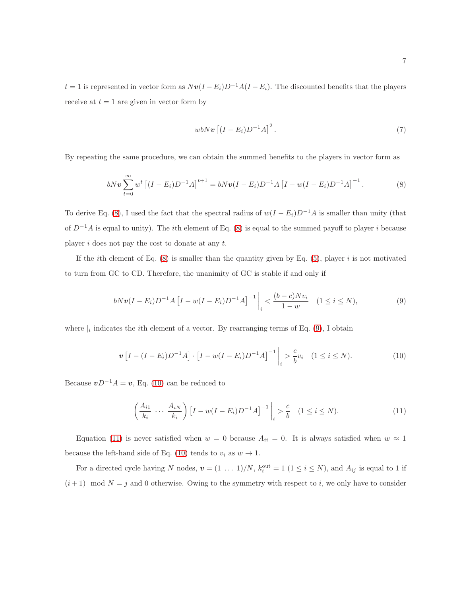$t = 1$  is represented in vector form as  $Nv(I - E_i)D^{-1}A(I - E_i)$ . The discounted benefits that the players receive at  $t = 1$  are given in vector form by

$$
wbN\boldsymbol{v}\left[(I-E_i)D^{-1}A\right]^2.\tag{7}
$$

By repeating the same procedure, we can obtain the summed benefits to the players in vector form as

<span id="page-6-0"></span>
$$
bN\boldsymbol{v}\sum_{t=0}^{\infty}w^{t}\left[(I-E_{i})D^{-1}A\right]^{t+1}=bN\boldsymbol{v}(I-E_{i})D^{-1}A\left[I-w(I-E_{i})D^{-1}A\right]^{-1}.
$$
 (8)

To derive Eq. [\(8\)](#page-6-0), I used the fact that the spectral radius of  $w(I - E_i)D^{-1}A$  is smaller than unity (that of  $D^{-1}A$  is equal to unity). The *i*th element of Eq. [\(8\)](#page-6-0) is equal to the summed payoff to player *i* because player  $i$  does not pay the cost to donate at any  $t$ .

If the *i*th element of Eq.  $(8)$  is smaller than the quantity given by Eq.  $(5)$ , player *i* is not motivated to turn from GC to CD. Therefore, the unanimity of GC is stable if and only if

<span id="page-6-1"></span>
$$
bNv(I - E_i)D^{-1}A[I - w(I - E_i)D^{-1}A]^{-1}\bigg|_{i} < \frac{(b - c)Nv_i}{1 - w} \quad (1 \le i \le N),
$$
\n(9)

where  $\vert_i$  indicates the *i*th element of a vector. By rearranging terms of Eq. [\(9\)](#page-6-1), I obtain

<span id="page-6-2"></span>
$$
\mathbf{v}\left[I - (I - E_i)D^{-1}A\right] \cdot \left[I - w(I - E_i)D^{-1}A\right]^{-1}\bigg|_{i} > \frac{c}{b}v_i \quad (1 \le i \le N). \tag{10}
$$

Because  $vD^{-1}A = v$ , Eq. [\(10\)](#page-6-2) can be reduced to

<span id="page-6-3"></span>
$$
\left(\frac{A_{i1}}{k_i} \cdots \frac{A_{iN}}{k_i}\right) \left[I - w(I - E_i)D^{-1}A\right]^{-1} \bigg|_i > \frac{c}{b} \quad (1 \le i \le N). \tag{11}
$$

Equation [\(11\)](#page-6-3) is never satisfied when  $w = 0$  because  $A_{ii} = 0$ . It is always satisfied when  $w \approx 1$ because the left-hand side of Eq. [\(10\)](#page-6-2) tends to  $v_i$  as  $w \to 1$ .

For a directed cycle having N nodes,  $\mathbf{v} = (1 \dots 1)/N$ ,  $k_i^{\text{out}} = 1$   $(1 \le i \le N)$ , and  $A_{ij}$  is equal to 1 if  $(i+1) \mod N = j$  and 0 otherwise. Owing to the symmetry with respect to i, we only have to consider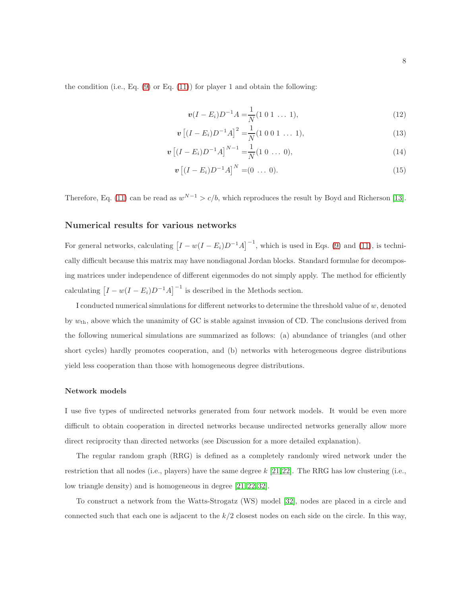the condition (i.e., Eq.  $(9)$  or Eq.  $(11)$ ) for player 1 and obtain the following:

$$
\boldsymbol{v}(I - E_i)D^{-1}A = \frac{1}{N}(1 \ 0 \ 1 \ \dots \ 1), \tag{12}
$$

$$
\boldsymbol{v} \left[ (I - E_i) D^{-1} A \right]^2 = \frac{1}{N} (1 \ 0 \ 0 \ 1 \ \dots \ 1), \tag{13}
$$

$$
\boldsymbol{v} \left[ (I - E_i) D^{-1} A \right]^{N-1} = \frac{1}{N} (1 \ 0 \ \dots \ 0), \tag{14}
$$

$$
\mathbf{v} \left[ (I - E_i) D^{-1} A \right]^N = (0 \ \dots \ 0). \tag{15}
$$

Therefore, Eq. [\(11\)](#page-6-3) can be read as  $w^{N-1} > c/b$ , which reproduces the result by Boyd and Richerson [\[13\]](#page-18-4).

### Numerical results for various networks

For general networks, calculating  $[I - w(I - E_i)D^{-1}A]^{-1}$ , which is used in Eqs. [\(9\)](#page-6-1) and [\(11\)](#page-6-3), is technically difficult because this matrix may have nondiagonal Jordan blocks. Standard formulae for decomposing matrices under independence of different eigenmodes do not simply apply. The method for efficiently calculating  $[I - w(I - E_i)D^{-1}A]^{-1}$  is described in the Methods section.

I conducted numerical simulations for different networks to determine the threshold value of w, denoted by  $w_{\text{th}}$ , above which the unanimity of GC is stable against invasion of CD. The conclusions derived from the following numerical simulations are summarized as follows: (a) abundance of triangles (and other short cycles) hardly promotes cooperation, and (b) networks with heterogeneous degree distributions yield less cooperation than those with homogeneous degree distributions.

#### Network models

I use five types of undirected networks generated from four network models. It would be even more difficult to obtain cooperation in directed networks because undirected networks generally allow more direct reciprocity than directed networks (see Discussion for a more detailed explanation).

The regular random graph (RRG) is defined as a completely randomly wired network under the restriction that all nodes (i.e., players) have the same degree  $k$  [\[21,](#page-18-14)[22\]](#page-18-12). The RRG has low clustering (i.e., low triangle density) and is homogeneous in degree [\[21,](#page-18-14) [22,](#page-18-12) [32\]](#page-19-6).

To construct a network from the Watts-Strogatz (WS) model [\[32\]](#page-19-6), nodes are placed in a circle and connected such that each one is adjacent to the  $k/2$  closest nodes on each side on the circle. In this way,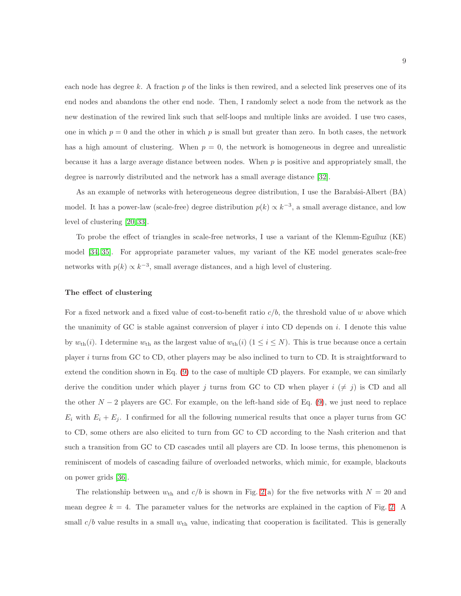each node has degree k. A fraction  $p$  of the links is then rewired, and a selected link preserves one of its end nodes and abandons the other end node. Then, I randomly select a node from the network as the new destination of the rewired link such that self-loops and multiple links are avoided. I use two cases, one in which  $p = 0$  and the other in which p is small but greater than zero. In both cases, the network has a high amount of clustering. When  $p = 0$ , the network is homogeneous in degree and unrealistic because it has a large average distance between nodes. When  $p$  is positive and appropriately small, the degree is narrowly distributed and the network has a small average distance [\[32\]](#page-19-6).

As an example of networks with heterogeneous degree distribution, I use the Barabási-Albert (BA) model. It has a power-law (scale-free) degree distribution  $p(k) \propto k^{-3}$ , a small average distance, and low level of clustering [\[20,](#page-18-11) [33\]](#page-19-7).

To probe the effect of triangles in scale-free networks, I use a variant of the Klemm-Eguíluz  $(KE)$ model [\[34,](#page-19-8) [35\]](#page-19-9). For appropriate parameter values, my variant of the KE model generates scale-free networks with  $p(k) \propto k^{-3}$ , small average distances, and a high level of clustering.

#### The effect of clustering

For a fixed network and a fixed value of cost-to-benefit ratio  $c/b$ , the threshold value of w above which the unanimity of GC is stable against conversion of player  $i$  into CD depends on  $i$ . I denote this value by  $w_{\text{th}}(i)$ . I determine  $w_{\text{th}}$  as the largest value of  $w_{\text{th}}(i)$  ( $1 \le i \le N$ ). This is true because once a certain player i turns from GC to CD, other players may be also inclined to turn to CD. It is straightforward to extend the condition shown in Eq. [\(9\)](#page-6-1) to the case of multiple CD players. For example, we can similarly derive the condition under which player j turns from GC to CD when player  $i \neq j$  is CD and all the other  $N-2$  players are GC. For example, on the left-hand side of Eq. [\(9\)](#page-6-1), we just need to replace  $E_i$  with  $E_i + E_j$ . I confirmed for all the following numerical results that once a player turns from GC to CD, some others are also elicited to turn from GC to CD according to the Nash criterion and that such a transition from GC to CD cascades until all players are CD. In loose terms, this phenomenon is reminiscent of models of cascading failure of overloaded networks, which mimic, for example, blackouts on power grids [\[36\]](#page-19-10).

The relationship between  $w_{\text{th}}$  and  $c/b$  is shown in Fig. [2\(](#page-22-0)a) for the five networks with  $N = 20$  and mean degree  $k = 4$ . The parameter values for the networks are explained in the caption of Fig. [2.](#page-22-0) A small  $c/b$  value results in a small  $w_{\text{th}}$  value, indicating that cooperation is facilitated. This is generally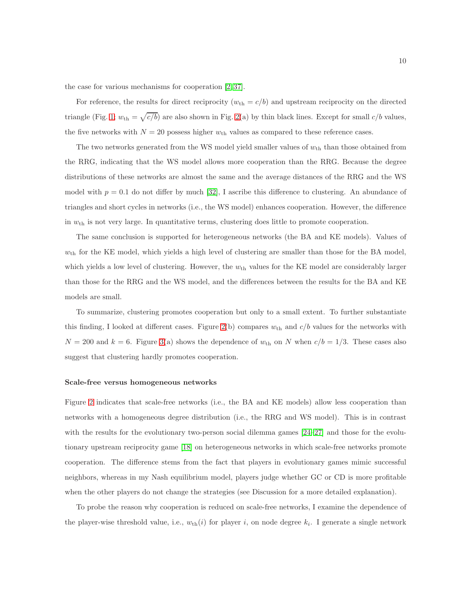the case for various mechanisms for cooperation [\[2,](#page-17-1) [37\]](#page-19-11).

For reference, the results for direct reciprocity  $(w_{th} = c/b)$  and upstream reciprocity on the directed triangle (Fig. [1;](#page-21-0)  $w_{\text{th}} = \sqrt{c/b}$ ) are also shown in Fig. [2\(](#page-22-0)a) by thin black lines. Except for small  $c/b$  values, the five networks with  $N = 20$  possess higher  $w_{th}$  values as compared to these reference cases.

The two networks generated from the WS model yield smaller values of  $w_{\text{th}}$  than those obtained from the RRG, indicating that the WS model allows more cooperation than the RRG. Because the degree distributions of these networks are almost the same and the average distances of the RRG and the WS model with  $p = 0.1$  do not differ by much [\[32\]](#page-19-6), I ascribe this difference to clustering. An abundance of triangles and short cycles in networks (i.e., the WS model) enhances cooperation. However, the difference in  $w_{\text{th}}$  is not very large. In quantitative terms, clustering does little to promote cooperation.

The same conclusion is supported for heterogeneous networks (the BA and KE models). Values of  $w_{\text{th}}$  for the KE model, which yields a high level of clustering are smaller than those for the BA model, which yields a low level of clustering. However, the  $w_{th}$  values for the KE model are considerably larger than those for the RRG and the WS model, and the differences between the results for the BA and KE models are small.

To summarize, clustering promotes cooperation but only to a small extent. To further substantiate this finding, I looked at different cases. Figure [2\(](#page-22-0)b) compares  $w_{th}$  and  $c/b$  values for the networks with  $N = 200$  and  $k = 6$ . Figure [3\(](#page-23-0)a) shows the dependence of  $w_{\text{th}}$  on N when  $c/b = 1/3$ . These cases also suggest that clustering hardly promotes cooperation.

#### Scale-free versus homogeneous networks

Figure [2](#page-22-0) indicates that scale-free networks (i.e., the BA and KE models) allow less cooperation than networks with a homogeneous degree distribution (i.e., the RRG and WS model). This is in contrast with the results for the evolutionary two-person social dilemma games  $[24-27]$  $[24-27]$  and those for the evolutionary upstream reciprocity game [\[18\]](#page-18-9) on heterogeneous networks in which scale-free networks promote cooperation. The difference stems from the fact that players in evolutionary games mimic successful neighbors, whereas in my Nash equilibrium model, players judge whether GC or CD is more profitable when the other players do not change the strategies (see Discussion for a more detailed explanation).

To probe the reason why cooperation is reduced on scale-free networks, I examine the dependence of the player-wise threshold value, i.e.,  $w_{\text{th}}(i)$  for player i, on node degree  $k_i$ . I generate a single network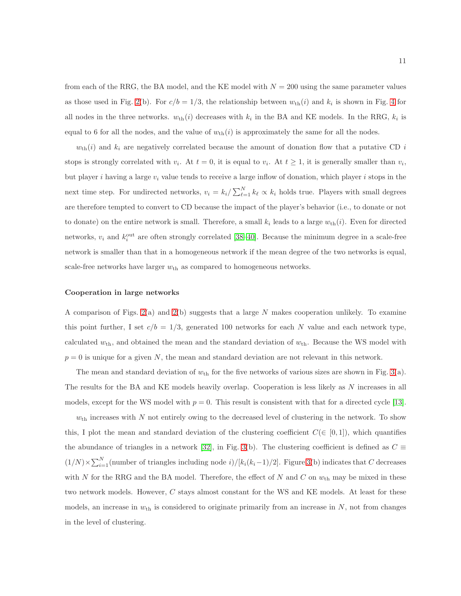from each of the RRG, the BA model, and the KE model with  $N = 200$  using the same parameter values as those used in Fig. [2\(](#page-22-0)b). For  $c/b = 1/3$ , the relationship between  $w_{\text{th}}(i)$  and  $k_i$  is shown in Fig. [4](#page-24-0) for all nodes in the three networks.  $w_{\text{th}}(i)$  decreases with  $k_i$  in the BA and KE models. In the RRG,  $k_i$  is equal to 6 for all the nodes, and the value of  $w_{\text{th}}(i)$  is approximately the same for all the nodes.

 $w_{\text{th}}(i)$  and  $k_i$  are negatively correlated because the amount of donation flow that a putative CD i stops is strongly correlated with  $v_i$ . At  $t = 0$ , it is equal to  $v_i$ . At  $t \ge 1$ , it is generally smaller than  $v_i$ , but player i having a large  $v_i$  value tends to receive a large inflow of donation, which player i stops in the next time step. For undirected networks,  $v_i = k_i / \sum_{\ell=1}^{N} k_{\ell} \propto k_i$  holds true. Players with small degrees are therefore tempted to convert to CD because the impact of the player's behavior (i.e., to donate or not to donate) on the entire network is small. Therefore, a small  $k_i$  leads to a large  $w_{\text{th}}(i)$ . Even for directed networks,  $v_i$  and  $k_i^{\text{out}}$  are often strongly correlated [\[38](#page-19-12)[–40\]](#page-20-0). Because the minimum degree in a scale-free network is smaller than that in a homogeneous network if the mean degree of the two networks is equal, scale-free networks have larger  $w_{th}$  as compared to homogeneous networks.

#### Cooperation in large networks

A comparison of Figs. [2\(](#page-22-0)a) and [2\(](#page-22-0)b) suggests that a large N makes cooperation unlikely. To examine this point further, I set  $c/b = 1/3$ , generated 100 networks for each N value and each network type, calculated  $w_{th}$ , and obtained the mean and the standard deviation of  $w_{th}$ . Because the WS model with  $p = 0$  is unique for a given N, the mean and standard deviation are not relevant in this network.

The mean and standard deviation of  $w_{\text{th}}$  for the five networks of various sizes are shown in Fig. [3\(](#page-23-0)a). The results for the BA and KE models heavily overlap. Cooperation is less likely as N increases in all models, except for the WS model with  $p = 0$ . This result is consistent with that for a directed cycle [\[13\]](#page-18-4).

 $w<sub>th</sub>$  increases with N not entirely owing to the decreased level of clustering in the network. To show this, I plot the mean and standard deviation of the clustering coefficient  $C(\in [0,1])$ , which quantifies the abundance of triangles in a network [\[32\]](#page-19-6), in Fig. [3\(](#page-23-0)b). The clustering coefficient is defined as  $C \equiv$  $(1/N) \times \sum_{i=1}^{N}$  (number of triangles including node i)/[k<sub>i</sub>(k<sub>i</sub>-1)/2]. Figure [3\(](#page-23-0)b) indicates that C decreases with N for the RRG and the BA model. Therefore, the effect of N and C on  $w_{\text{th}}$  may be mixed in these two network models. However, C stays almost constant for the WS and KE models. At least for these models, an increase in  $w_{\text{th}}$  is considered to originate primarily from an increase in  $N$ , not from changes in the level of clustering.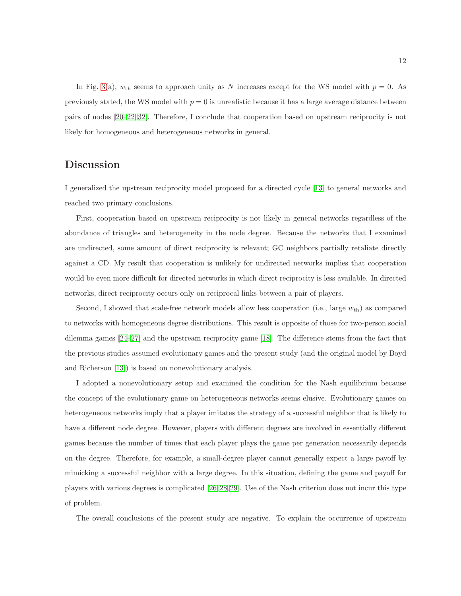In Fig. [3\(](#page-23-0)a),  $w_{th}$  seems to approach unity as N increases except for the WS model with  $p = 0$ . As previously stated, the WS model with  $p = 0$  is unrealistic because it has a large average distance between pairs of nodes [\[20–](#page-18-11)[22,](#page-18-12) [32\]](#page-19-6). Therefore, I conclude that cooperation based on upstream reciprocity is not likely for homogeneous and heterogeneous networks in general.

## **Discussion**

I generalized the upstream reciprocity model proposed for a directed cycle [\[13\]](#page-18-4) to general networks and reached two primary conclusions.

First, cooperation based on upstream reciprocity is not likely in general networks regardless of the abundance of triangles and heterogeneity in the node degree. Because the networks that I examined are undirected, some amount of direct reciprocity is relevant; GC neighbors partially retaliate directly against a CD. My result that cooperation is unlikely for undirected networks implies that cooperation would be even more difficult for directed networks in which direct reciprocity is less available. In directed networks, direct reciprocity occurs only on reciprocal links between a pair of players.

Second, I showed that scale-free network models allow less cooperation (i.e., large  $w_{th}$ ) as compared to networks with homogeneous degree distributions. This result is opposite of those for two-person social dilemma games [\[24](#page-19-0)[–27\]](#page-19-1) and the upstream reciprocity game [\[18\]](#page-18-9). The difference stems from the fact that the previous studies assumed evolutionary games and the present study (and the original model by Boyd and Richerson [\[13\]](#page-18-4)) is based on nonevolutionary analysis.

I adopted a nonevolutionary setup and examined the condition for the Nash equilibrium because the concept of the evolutionary game on heterogeneous networks seems elusive. Evolutionary games on heterogeneous networks imply that a player imitates the strategy of a successful neighbor that is likely to have a different node degree. However, players with different degrees are involved in essentially different games because the number of times that each player plays the game per generation necessarily depends on the degree. Therefore, for example, a small-degree player cannot generally expect a large payoff by mimicking a successful neighbor with a large degree. In this situation, defining the game and payoff for players with various degrees is complicated [\[26,](#page-19-13) [28,](#page-19-2) [29\]](#page-19-3). Use of the Nash criterion does not incur this type of problem.

The overall conclusions of the present study are negative. To explain the occurrence of upstream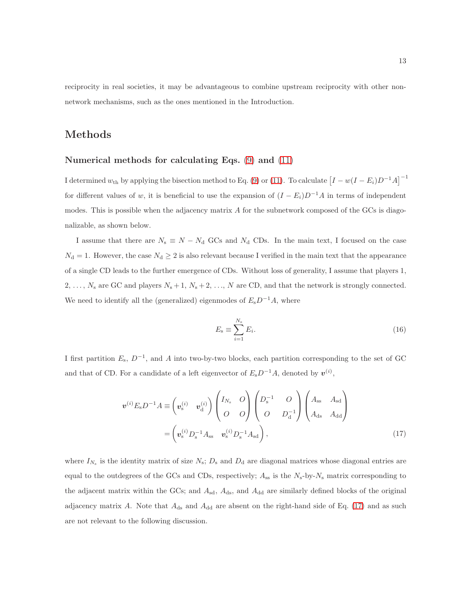reciprocity in real societies, it may be advantageous to combine upstream reciprocity with other nonnetwork mechanisms, such as the ones mentioned in the Introduction.

## Methods

### Numerical methods for calculating Eqs. [\(9\)](#page-6-1) and [\(11\)](#page-6-3)

I determined  $w_{\text{th}}$  by applying the bisection method to Eq. [\(9\)](#page-6-1) or [\(11\)](#page-6-3). To calculate  $\left[ I - w(I - E_i)D^{-1}A \right]^{-1}$ for different values of w, it is beneficial to use the expansion of  $(I - E_i)D^{-1}A$  in terms of independent modes. This is possible when the adjacency matrix A for the subnetwork composed of the GCs is diagonalizable, as shown below.

I assume that there are  $N_s \equiv N - N_d$  GCs and  $N_d$  CDs. In the main text, I focused on the case  $N_{\rm d} = 1$ . However, the case  $N_{\rm d} \geq 2$  is also relevant because I verified in the main text that the appearance of a single CD leads to the further emergence of CDs. Without loss of generality, I assume that players 1, 2, ...,  $N_s$  are GC and players  $N_s + 1$ ,  $N_s + 2$ , ..., N are CD, and that the network is strongly connected. We need to identify all the (generalized) eigenmodes of  $E_{\rm s}D^{-1}A$ , where

<span id="page-12-1"></span><span id="page-12-0"></span>
$$
E_{\rm s} \equiv \sum_{i=1}^{N_{\rm s}} E_i. \tag{16}
$$

I first partition  $E_s$ ,  $D^{-1}$ , and A into two-by-two blocks, each partition corresponding to the set of GC and that of CD. For a candidate of a left eigenvector of  $E_{\rm s}D^{-1}A$ , denoted by  $v^{(i)}$ ,

$$
\boldsymbol{v}^{(i)} E_{\rm s} D^{-1} A \equiv \begin{pmatrix} \boldsymbol{v}_{\rm s}^{(i)} & \boldsymbol{v}_{\rm d}^{(i)} \end{pmatrix} \begin{pmatrix} I_{N_{\rm s}} & O \\ O & O \end{pmatrix} \begin{pmatrix} D_{\rm s}^{-1} & O \\ O & D_{\rm d}^{-1} \end{pmatrix} \begin{pmatrix} A_{\rm ss} & A_{\rm sd} \\ A_{\rm ds} & A_{\rm dd} \end{pmatrix}
$$

$$
= \begin{pmatrix} \boldsymbol{v}_{\rm s}^{(i)} D_{\rm s}^{-1} A_{\rm ss} & \boldsymbol{v}_{\rm s}^{(i)} D_{\rm s}^{-1} A_{\rm sd} \end{pmatrix},
$$
(17)

where  $I_{N_s}$  is the identity matrix of size  $N_s$ ;  $D_s$  and  $D_d$  are diagonal matrices whose diagonal entries are equal to the outdegrees of the GCs and CDs, respectively;  $A_{ss}$  is the  $N_s$ -by- $N_s$  matrix corresponding to the adjacent matrix within the GCs; and  $A_{sd}$ ,  $A_{ds}$ , and  $A_{dd}$  are similarly defined blocks of the original adjacency matrix A. Note that  $A_{ds}$  and  $A_{dd}$  are absent on the right-hand side of Eq. [\(17\)](#page-12-0) and as such are not relevant to the following discussion.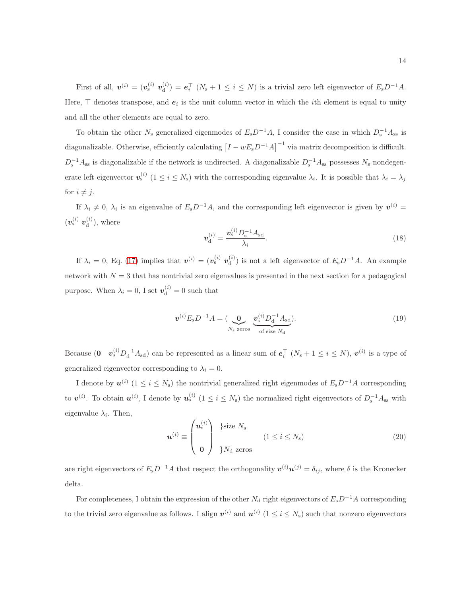First of all,  $\boldsymbol{v}^{(i)} = (\boldsymbol{v}_{\mathrm{s}}^{(i)}\;\boldsymbol{v}_{\mathrm{d}}^{(i)})$  $\mathbf{e}_{\mathbf{d}}^{(i)}$ ) =  $\mathbf{e}_{i}^{\top}$   $(N_{\rm s} + 1 \leq i \leq N)$  is a trivial zero left eigenvector of  $E_{\rm s}D^{-1}A$ . Here,  $\top$  denotes transpose, and  $e_i$  is the unit column vector in which the *i*th element is equal to unity and all the other elements are equal to zero.

To obtain the other  $N_s$  generalized eigenmodes of  $E_s D^{-1}A$ , I consider the case in which  $D_s^{-1}A_{ss}$  is diagonalizable. Otherwise, efficiently calculating  $[I - wE_{s}D^{-1}A]^{-1}$  via matrix decomposition is difficult.  $D_s^{-1}A_{ss}$  is diagonalizable if the network is undirected. A diagonalizable  $D_s^{-1}A_{ss}$  possesses  $N_s$  nondegenerate left eigenvector  $v_s^{(i)}$   $(1 \le i \le N_s)$  with the corresponding eigenvalue  $\lambda_i$ . It is possible that  $\lambda_i = \lambda_j$ for  $i \neq j$ .

If  $\lambda_i \neq 0$ ,  $\lambda_i$  is an eigenvalue of  $E_{\rm s}D^{-1}A$ , and the corresponding left eigenvector is given by  $v^{(i)}$  =  $(\boldsymbol{v}_{\text{s}}^{(i)}\ \boldsymbol{v}_{\text{d}}^{(i)}$  $\binom{v}{d}$ , where

$$
v_{\rm d}^{(i)} = \frac{v_{\rm s}^{(i)} D_{\rm s}^{-1} A_{\rm sd}}{\lambda_i}.
$$
 (18)

If  $\lambda_i = 0$ , Eq. [\(17\)](#page-12-0) implies that  $\mathbf{v}^{(i)} = (\mathbf{v}_s^{(i)} \; \mathbf{v}_d^{(i)})$  $\binom{a}{d}$  is not a left eigenvector of  $E_{s}D^{-1}A$ . An example network with  $N = 3$  that has nontrivial zero eigenvalues is presented in the next section for a pedagogical purpose. When  $\lambda_i = 0$ , I set  $\mathbf{v}_{d}^{(i)} = 0$  such that

<span id="page-13-0"></span>
$$
\boldsymbol{v}^{(i)} E_{\rm s} D^{-1} A = (\underbrace{\mathbf{0}}_{N_{\rm s} \text{ zeros}} \underbrace{\boldsymbol{v}_{\rm s}^{(i)} D_{\rm d}^{-1} A_{\rm sd}}_{\text{of size } N_{\rm d}}). \tag{19}
$$

Because  $(0 \t v_s^{(i)} D_d^{-1} A_{sd})$  can be represented as a linear sum of  $e_i^{\top} (N_s + 1 \le i \le N)$ ,  $v^{(i)}$  is a type of generalized eigenvector corresponding to  $\lambda_i = 0$ .

I denote by  $u^{(i)}$  ( $1 \le i \le N_s$ ) the nontrivial generalized right eigenmodes of  $E_s D^{-1}A$  corresponding to  $v^{(i)}$ . To obtain  $u^{(i)}$ , I denote by  $u_s^{(i)}$   $(1 \le i \le N_s)$  the normalized right eigenvectors of  $D_s^{-1}A_{ss}$  with eigenvalue  $\lambda_i$ . Then,

$$
\boldsymbol{u}^{(i)} \equiv \begin{pmatrix} \boldsymbol{u}_{\mathrm{s}}^{(i)} \\ \mathbf{0} \end{pmatrix} \begin{cases} \text{size } N_{\mathrm{s}} \\ \text{size } N_{\mathrm{s}} \end{cases} \qquad (1 \leq i \leq N_{\mathrm{s}}) \tag{20}
$$

are right eigenvectors of  $E_{s}D^{-1}A$  that respect the orthogonality  $\mathbf{v}^{(i)}\mathbf{u}^{(j)}=\delta_{ij}$ , where  $\delta$  is the Kronecker delta.

For completeness, I obtain the expression of the other  $N_d$  right eigenvectors of  $E_sD^{-1}A$  corresponding to the trivial zero eigenvalue as follows. I align  $v^{(i)}$  and  $u^{(i)}$   $(1 \le i \le N_s)$  such that nonzero eigenvectors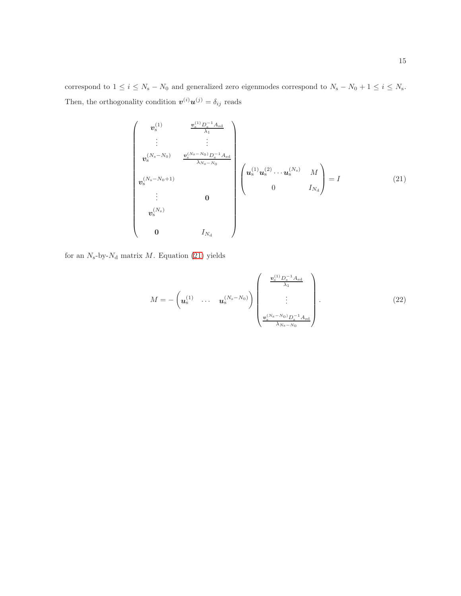correspond to  $1 \le i \le N_s - N_0$  and generalized zero eigenmodes correspond to  $N_s - N_0 + 1 \le i \le N_s$ . Then, the orthogonality condition  $\mathbf{v}^{(i)}\mathbf{u}^{(j)} = \delta_{ij}$  reads

<span id="page-14-0"></span>
$$
\begin{pmatrix}\nv_{s}^{(1)} & \frac{v_{s}^{(1)} D_{s}^{-1} A_{sd}}{\lambda_{1}} \\
\vdots & \vdots \\
v_{s}^{(N_{s}-N_{0})} & \frac{v_{s}^{(N_{s}-N_{0})} D_{s}^{-1} A_{sd}}{\lambda_{N_{s}-N_{0}}}\n\end{pmatrix}\n\begin{pmatrix}\nv_{s}^{(1)} u_{s}^{(2)} \cdots u_{s}^{(N_{s})} & M \\
0 & I_{N_{d}}\n\end{pmatrix} = I
$$
\n(21)\n
$$
\begin{pmatrix}\nv_{s}^{(N_{s})} & 0 \\
\vdots & \vdots \\
0 & I_{N_{d}}\n\end{pmatrix}
$$

for an  $N_s$ -by- $N_d$  matrix  $M$ . Equation [\(21\)](#page-14-0) yields

$$
M = -\left(u_s^{(1)} \cdots u_s^{(N_s - N_0)}\right) \begin{pmatrix} \frac{v_s^{(1)} D_s^{-1} A_{sd}}{\lambda_1} \\ \vdots \\ \frac{v_s^{(N_s - N_0)} D_s^{-1} A_{sd}}{\lambda_{N_s - N_0}} \end{pmatrix} .
$$
 (22)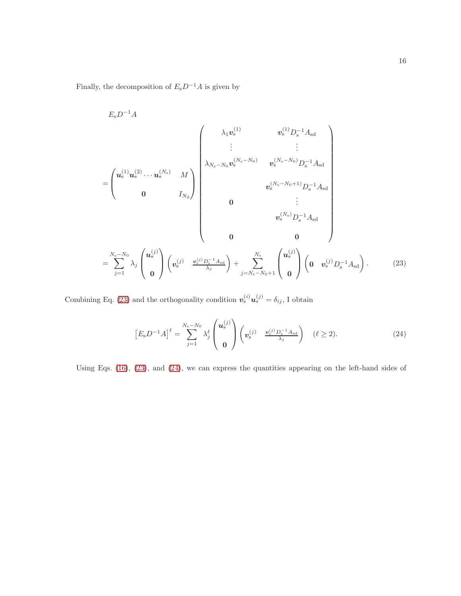Finally, the decomposition of  $E_{\rm s}D^{-1}A$  is given by

$$
E_{s}D^{-1}A
$$
\n
$$
= \begin{pmatrix}\n\mathbf{u}_{s}^{(1)}\mathbf{u}_{s}^{(2)}\cdots\mathbf{u}_{s}^{(N_{s})} & M \\
0 & I_{N_{a}}\n\end{pmatrix}\n\begin{pmatrix}\n\lambda_{1}\mathbf{v}_{s}^{(1)} & \mathbf{v}_{s}^{(1)}D_{s}^{-1}A_{sd} \\
\vdots & \vdots \\
\lambda_{N_{s}-N_{0}}\mathbf{v}_{s}^{(N_{s}-N_{0})} & \mathbf{v}_{s}^{(N_{s}-N_{0})}D_{s}^{-1}A_{sd} \\
\mathbf{v}_{s}^{(N_{s}-N_{0}+1)}D_{s}^{-1}A_{sd} \\
\mathbf{0} & \vdots \\
\mathbf{v}_{s}^{(N_{s})}D_{s}^{-1}A_{sd}\n\end{pmatrix}
$$
\n
$$
= \sum_{j=1}^{N_{s}-N_{0}} \lambda_{j} \begin{pmatrix}\n\mathbf{u}_{s}^{(j)} \\
\mathbf{0}\n\end{pmatrix}\n\begin{pmatrix}\n\mathbf{v}_{s}^{(j)} - \frac{\mathbf{v}_{s}^{(j)}D_{s}^{-1}A_{sd}}{\lambda_{j}}\n\end{pmatrix} + \sum_{j=N_{s}-N_{0}+1}^{N_{s}} \begin{pmatrix}\n\mathbf{u}_{s}^{(j)} \\
\mathbf{0}\n\end{pmatrix}\n\begin{pmatrix}\n\mathbf{0} & \mathbf{v}_{s}^{(j)}D_{s}^{-1}A_{sd}\n\end{pmatrix}.
$$
\n(23)

Combining Eq. [\(23\)](#page-15-0) and the orthogonality condition  $v_s^{(i)}u_s^{(j)} = \delta_{ij}$ , I obtain

<span id="page-15-1"></span><span id="page-15-0"></span>
$$
\left[E_{\rm s}D^{-1}A\right]^\ell = \sum_{j=1}^{N_{\rm s}-N_0} \lambda_j^\ell \begin{pmatrix} u_{\rm s}^{(j)} \\ 0 \end{pmatrix} \begin{pmatrix} v_{\rm s}^{(j)} & v_{\rm s}^{(j)}D_{\rm s}^{-1}A_{\rm sd} \\ 0 \end{pmatrix} \quad (\ell \ge 2). \tag{24}
$$

Using Eqs. [\(16\)](#page-12-1), [\(23\)](#page-15-0), and [\(24\)](#page-15-1), we can express the quantities appearing on the left-hand sides of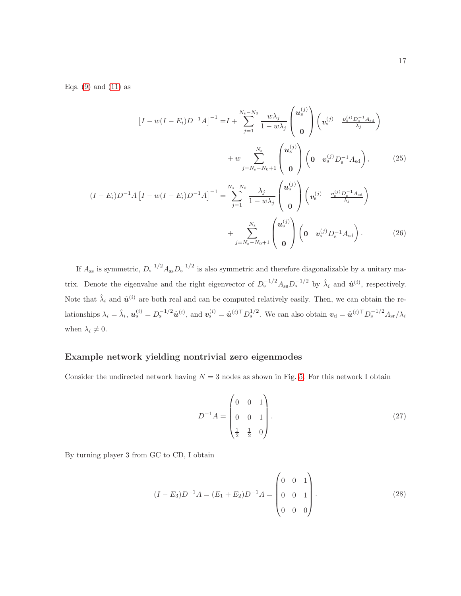Eqs.  $(9)$  and  $(11)$  as

$$
\begin{aligned}\n[I - w(I - E_i)D^{-1}A]^{-1} &= I + \sum_{j=1}^{N_s - N_0} \frac{w\lambda_j}{1 - w\lambda_j} \begin{pmatrix} u_s^{(j)} \\ 0 \end{pmatrix} \begin{pmatrix} v_s^{(j)} & \frac{v_s^{(j)}D_s^{-1}A_{sd}}{\lambda_j} \end{pmatrix} \\
&\quad + w \sum_{j=N_s - N_0 + 1}^{N_s} \begin{pmatrix} u_s^{(j)} \\ 0 \end{pmatrix} \begin{pmatrix} 0 & v_s^{(j)}D_s^{-1}A_{sd} \end{pmatrix},\n\end{aligned} \tag{25}
$$
\n
$$
\begin{aligned}\n(I - E_i)D^{-1}A \left[I - w(I - E_i)D^{-1}A\right]^{-1} &= \sum_{j=1}^{N_s - N_0} \frac{\lambda_j}{1 - w\lambda_j} \begin{pmatrix} u_s^{(j)} \\ 0 \end{pmatrix} \begin{pmatrix} v_s^{(j)} & \frac{v_s^{(j)}D_s^{-1}A_{sd}}{\lambda_j} \end{pmatrix} \\
&\quad + \sum_{j=N_s - N_0 + 1}^{N_s} \begin{pmatrix} u_s^{(j)} \\ 0 \end{pmatrix} \begin{pmatrix} 0 & v_s^{(j)}D_s^{-1}A_{sd} \end{pmatrix}.\n\end{aligned} \tag{26}
$$

If  $A_{ss}$  is symmetric,  $D_s^{-1/2} A_{ss} D_s^{-1/2}$  is also symmetric and therefore diagonalizable by a unitary matrix. Denote the eigenvalue and the right eigenvector of  $D_s^{-1/2} A_{ss} D_s^{-1/2}$  by  $\hat{\lambda}_i$  and  $\hat{\mathbf{u}}^{(i)}$ , respectively. Note that  $\hat{\lambda}_i$  and  $\hat{\mathbf{u}}^{(i)}$  are both real and can be computed relatively easily. Then, we can obtain the relationships  $\lambda_i = \hat{\lambda}_i$ ,  $u_s^{(i)} = D_s^{-1/2} \hat{u}^{(i)}$ , and  $v_s^{(i)} = \hat{u}^{(i)\top} D_s^{1/2}$ . We can also obtain  $v_d = \hat{u}^{(i)\top} D_s^{-1/2} A_{sr}/\lambda_i$ when  $\lambda_i \neq 0$ .

### Example network yielding nontrivial zero eigenmodes

Consider the undirected network having  $N = 3$  nodes as shown in Fig. [5.](#page-25-0) For this network I obtain

$$
D^{-1}A = \begin{pmatrix} 0 & 0 & 1 \\ 0 & 0 & 1 \\ \frac{1}{2} & \frac{1}{2} & 0 \end{pmatrix}.
$$
 (27)

By turning player 3 from GC to CD, I obtain

<span id="page-16-0"></span>
$$
(I - E_3)D^{-1}A = (E_1 + E_2)D^{-1}A = \begin{pmatrix} 0 & 0 & 1 \\ 0 & 0 & 1 \\ 0 & 0 & 0 \end{pmatrix}.
$$
 (28)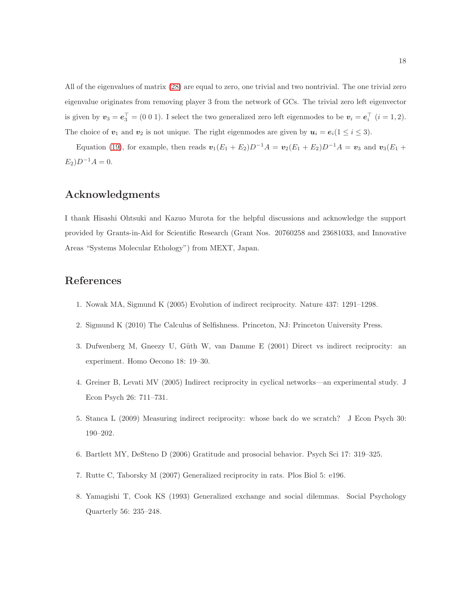All of the eigenvalues of matrix [\(28\)](#page-16-0) are equal to zero, one trivial and two nontrivial. The one trivial zero eigenvalue originates from removing player 3 from the network of GCs. The trivial zero left eigenvector is given by  $v_3 = e_3^\top = (0\ 0\ 1)$ . I select the two generalized zero left eigenmodes to be  $v_i = e_i^\top$   $(i = 1, 2)$ . The choice of  $v_1$  and  $v_2$  is not unique. The right eigenmodes are given by  $u_i = e_i(1 \le i \le 3)$ .

Equation [\(19\)](#page-13-0), for example, then reads  $v_1(E_1 + E_2)D^{-1}A = v_2(E_1 + E_2)D^{-1}A = v_3$  and  $v_3(E_1 + E_2)D^{-1}A = v_4$  $E_2$ ) $D^{-1}A = 0$ .

## Acknowledgments

I thank Hisashi Ohtsuki and Kazuo Murota for the helpful discussions and acknowledge the support provided by Grants-in-Aid for Scientific Research (Grant Nos. 20760258 and 23681033, and Innovative Areas "Systems Molecular Ethology") from MEXT, Japan.

## <span id="page-17-0"></span>References

- <span id="page-17-1"></span>1. Nowak MA, Sigmund K (2005) Evolution of indirect reciprocity. Nature 437: 1291–1298.
- <span id="page-17-2"></span>2. Sigmund K (2010) The Calculus of Selfishness. Princeton, NJ: Princeton University Press.
- 3. Dufwenberg M, Gneezy U, Güth W, van Damme E (2001) Direct vs indirect reciprocity: an experiment. Homo Oecono 18: 19–30.
- <span id="page-17-3"></span>4. Greiner B, Levati MV (2005) Indirect reciprocity in cyclical networks—an experimental study. J Econ Psych 26: 711–731.
- <span id="page-17-4"></span>5. Stanca L (2009) Measuring indirect reciprocity: whose back do we scratch? J Econ Psych 30: 190–202.
- <span id="page-17-5"></span>6. Bartlett MY, DeSteno D (2006) Gratitude and prosocial behavior. Psych Sci 17: 319–325.
- <span id="page-17-6"></span>7. Rutte C, Taborsky M (2007) Generalized reciprocity in rats. Plos Biol 5: e196.
- 8. Yamagishi T, Cook KS (1993) Generalized exchange and social dilemmas. Social Psychology Quarterly 56: 235–248.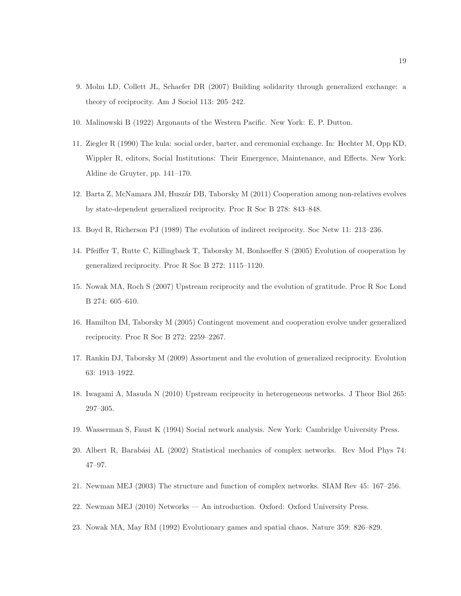- <span id="page-18-1"></span><span id="page-18-0"></span>9. Molm LD, Collett JL, Schaefer DR (2007) Building solidarity through generalized exchange: a theory of reciprocity. Am J Sociol 113: 205–242.
- <span id="page-18-2"></span>10. Malinowski B (1922) Argonauts of the Western Pacific. New York: E. P. Dutton.
- 11. Ziegler R (1990) The kula: social order, barter, and ceremonial exchange. In: Hechter M, Opp KD, Wippler R, editors, Social Institutions: Their Emergence, Maintenance, and Effects. New York: Aldine de Gruyter, pp. 141–170.
- <span id="page-18-4"></span><span id="page-18-3"></span>12. Barta Z, McNamara JM, Huszár DB, Taborsky M (2011) Cooperation among non-relatives evolves by state-dependent generalized reciprocity. Proc R Soc B 278: 843–848.
- <span id="page-18-5"></span>13. Boyd R, Richerson PJ (1989) The evolution of indirect reciprocity. Soc Netw 11: 213–236.
- <span id="page-18-6"></span>14. Pfeiffer T, Rutte C, Killingback T, Taborsky M, Bonhoeffer S (2005) Evolution of cooperation by generalized reciprocity. Proc R Soc B 272: 1115–1120.
- <span id="page-18-7"></span>15. Nowak MA, Roch S (2007) Upstream reciprocity and the evolution of gratitude. Proc R Soc Lond B 274: 605–610.
- <span id="page-18-8"></span>16. Hamilton IM, Taborsky M (2005) Contingent movement and cooperation evolve under generalized reciprocity. Proc R Soc B 272: 2259–2267.
- <span id="page-18-9"></span>17. Rankin DJ, Taborsky M (2009) Assortment and the evolution of generalized reciprocity. Evolution 63: 1913–1922.
- <span id="page-18-10"></span>18. Iwagami A, Masuda N (2010) Upstream reciprocity in heterogeneous networks. J Theor Biol 265: 297–305.
- <span id="page-18-11"></span>19. Wasserman S, Faust K (1994) Social network analysis. New York: Cambridge University Press.
- <span id="page-18-14"></span>20. Albert R, Barabási AL (2002) Statistical mechanics of complex networks. Rev Mod Phys 74: 47–97.
- <span id="page-18-12"></span>21. Newman MEJ (2003) The structure and function of complex networks. SIAM Rev 45: 167–256.
- <span id="page-18-13"></span>22. Newman MEJ (2010) Networks — An introduction. Oxford: Oxford University Press.
- 23. Nowak MA, May RM (1992) Evolutionary games and spatial chaos. Nature 359: 826–829.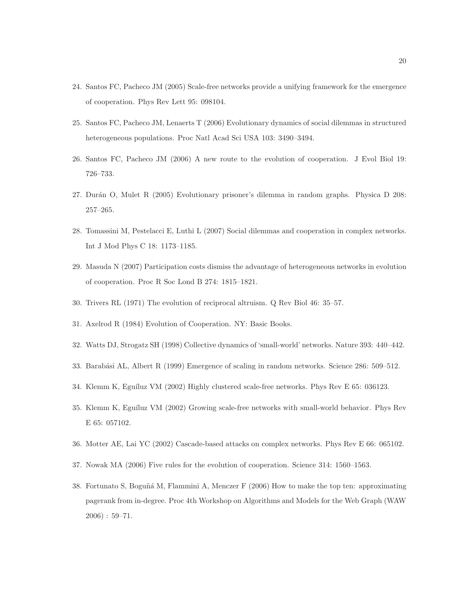- <span id="page-19-0"></span>24. Santos FC, Pacheco JM (2005) Scale-free networks provide a unifying framework for the emergence of cooperation. Phys Rev Lett 95: 098104.
- <span id="page-19-13"></span>25. Santos FC, Pacheco JM, Lenaerts T (2006) Evolutionary dynamics of social dilemmas in structured heterogeneous populations. Proc Natl Acad Sci USA 103: 3490–3494.
- <span id="page-19-1"></span>26. Santos FC, Pacheco JM (2006) A new route to the evolution of cooperation. J Evol Biol 19: 726–733.
- <span id="page-19-2"></span>27. Durán O, Mulet R (2005) Evolutionary prisoner's dilemma in random graphs. Physica D 208: 257–265.
- <span id="page-19-3"></span>28. Tomassini M, Pestelacci E, Luthi L (2007) Social dilemmas and cooperation in complex networks. Int J Mod Phys C 18: 1173–1185.
- <span id="page-19-4"></span>29. Masuda N (2007) Participation costs dismiss the advantage of heterogeneous networks in evolution of cooperation. Proc R Soc Lond B 274: 1815–1821.
- <span id="page-19-5"></span>30. Trivers RL (1971) The evolution of reciprocal altruism. Q Rev Biol 46: 35–57.
- <span id="page-19-6"></span>31. Axelrod R (1984) Evolution of Cooperation. NY: Basic Books.
- <span id="page-19-7"></span>32. Watts DJ, Strogatz SH (1998) Collective dynamics of 'small-world' networks. Nature 393: 440–442.
- <span id="page-19-8"></span>33. Barabási AL, Albert R (1999) Emergence of scaling in random networks. Science 286: 509–512.
- <span id="page-19-9"></span>34. Klemm K, Eguíluz VM (2002) Highly clustered scale-free networks. Phys Rev E 65: 036123.
- <span id="page-19-10"></span>35. Klemm K, Eguíluz VM (2002) Growing scale-free networks with small-world behavior. Phys Rev E 65: 057102.
- <span id="page-19-11"></span>36. Motter AE, Lai YC (2002) Cascade-based attacks on complex networks. Phys Rev E 66: 065102.
- <span id="page-19-12"></span>37. Nowak MA (2006) Five rules for the evolution of cooperation. Science 314: 1560–1563.
- 38. Fortunato S, Boguñá M, Flammini A, Menczer F (2006) How to make the top ten: approximating pagerank from in-degree. Proc 4th Workshop on Algorithms and Models for the Web Graph (WAW 2006) : 59–71.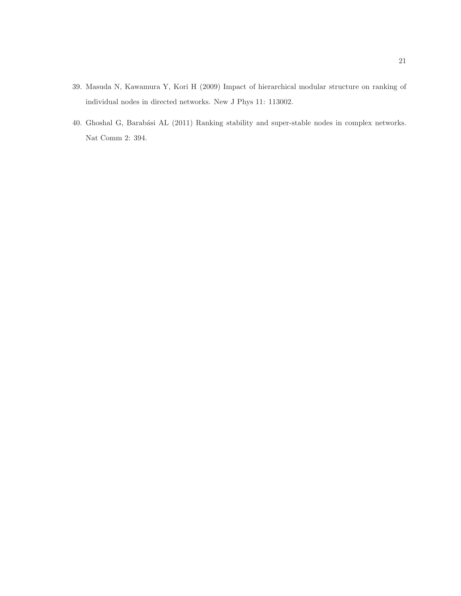- <span id="page-20-0"></span>39. Masuda N, Kawamura Y, Kori H (2009) Impact of hierarchical modular structure on ranking of individual nodes in directed networks. New J Phys 11: 113002.
- 40. Ghoshal G, Barabási AL (2011) Ranking stability and super-stable nodes in complex networks. Nat Comm 2: 394.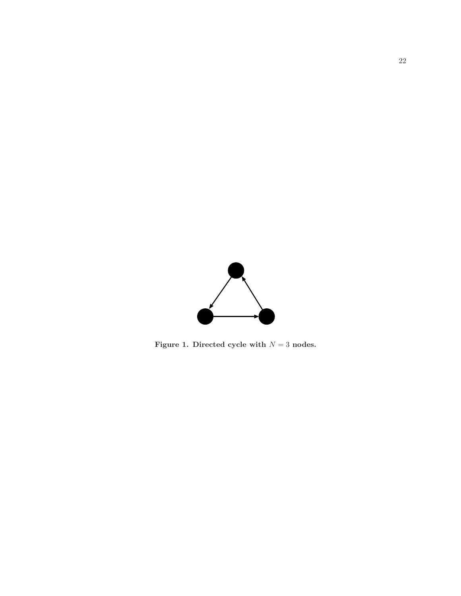

<span id="page-21-0"></span>Figure 1. Directed cycle with  $N = 3$  nodes.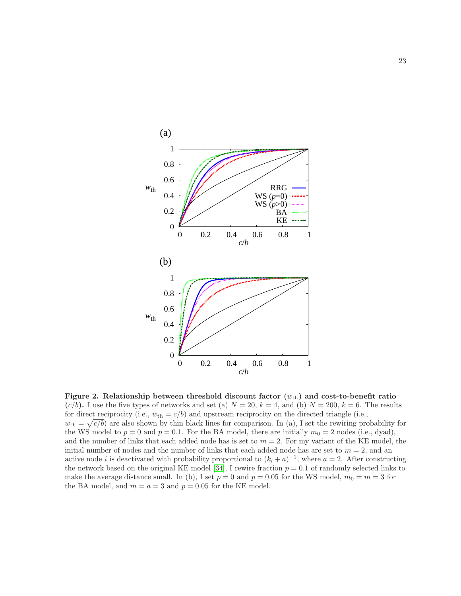<span id="page-22-0"></span>

Figure 2. Relationship between threshold discount factor  $(w_{th})$  and cost-to-benefit ratio  $(c/b)$ . I use the five types of networks and set (a)  $N = 20$ ,  $k = 4$ , and (b)  $N = 200$ ,  $k = 6$ . The results for direct reciprocity (i.e.,  $w_{\text{th}} = c/b$ ) and upstream reciprocity on the directed triangle (i.e.,  $w_{\text{th}} = \sqrt{c/b}$  are also shown by thin black lines for comparison. In (a), I set the rewiring probability for the WS model to  $p = 0$  and  $p = 0.1$ . For the BA model, there are initially  $m_0 = 2$  nodes (i.e., dyad), and the number of links that each added node has is set to  $m = 2$ . For my variant of the KE model, the initial number of nodes and the number of links that each added node has are set to  $m = 2$ , and an active node *i* is deactivated with probability proportional to  $(k_i + a)^{-1}$ , where  $a = 2$ . After constructing the network based on the original KE model [\[34\]](#page-19-8), I rewire fraction  $p = 0.1$  of randomly selected links to make the average distance small. In (b), I set  $p = 0$  and  $p = 0.05$  for the WS model,  $m_0 = m = 3$  for the BA model, and  $m = a = 3$  and  $p = 0.05$  for the KE model.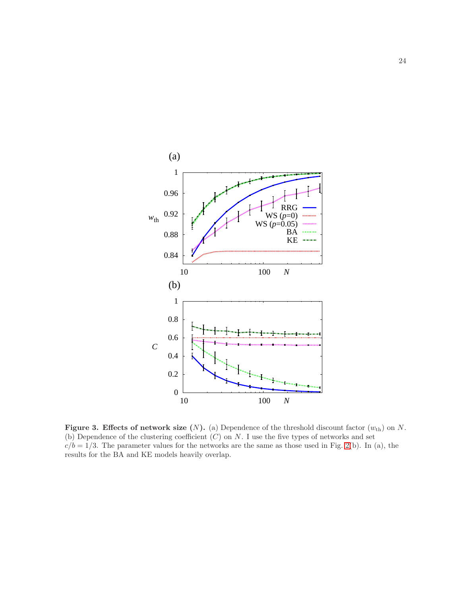<span id="page-23-0"></span>

Figure 3. Effects of network size  $(N)$ . (a) Dependence of the threshold discount factor  $(w_{th})$  on N. (b) Dependence of the clustering coefficient  $(C)$  on N. I use the five types of networks and set  $c/b = 1/3$ . The parameter values for the networks are the same as those used in Fig. [2\(](#page-22-0)b). In (a), the results for the BA and KE models heavily overlap.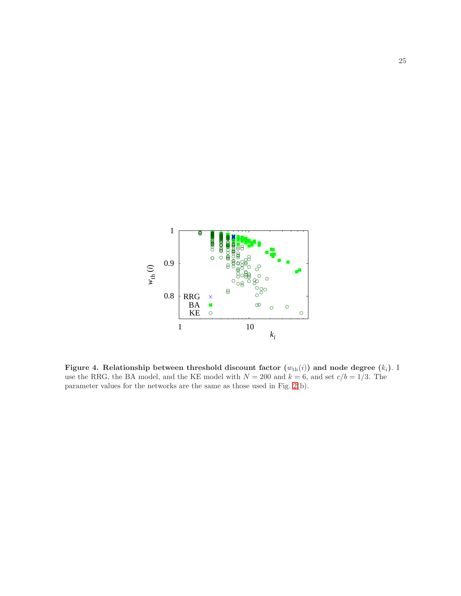<span id="page-24-0"></span>

Figure 4. Relationship between threshold discount factor  $(w_{th}(i))$  and node degree  $(k_i)$ . I use the RRG, the BA model, and the KE model with  $N = 200$  and  $k = 6$ , and set  $c/b = 1/3$ . The parameter values for the networks are the same as those used in Fig. [2\(](#page-22-0)b).